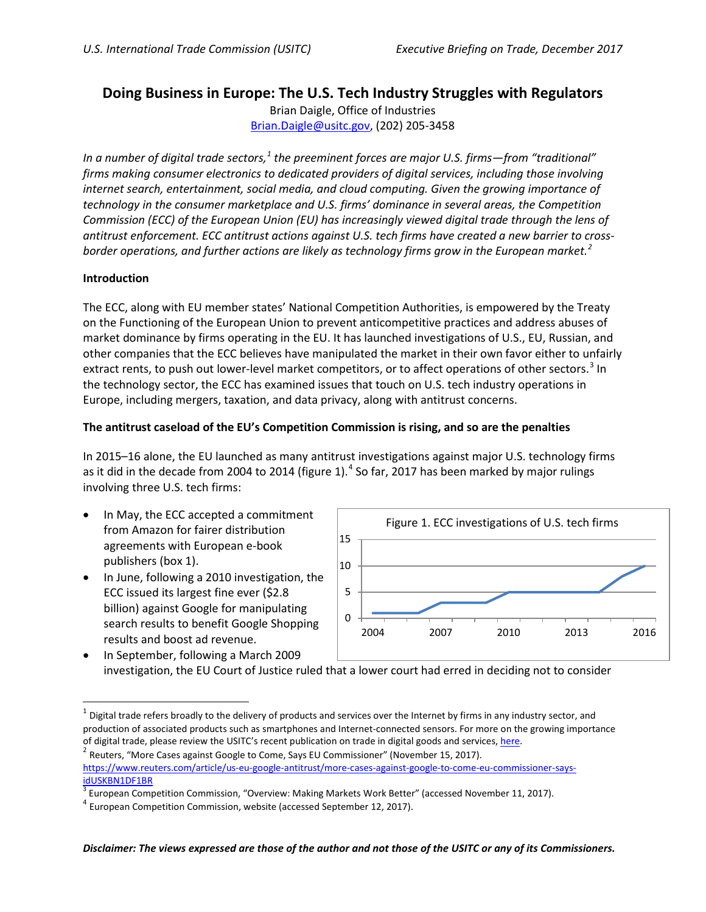# **Doing Business in Europe: The U.S. Tech Industry Struggles with Regulators**

Brian Daigle, Office of Industries [Brian.Daigle@usitc.gov,](mailto:Brian.Daigle@usitc.gov) (202) 205-3458

*In a number of digital trade sectors,[1](#page-0-0) the preeminent forces are major U.S. firms—from "traditional" firms making consumer electronics to dedicated providers of digital services, including those involving internet search, entertainment, social media, and cloud computing. Given the growing importance of technology in the consumer marketplace and U.S. firms' dominance in several areas, the Competition Commission (ECC) of the European Union (EU) has increasingly viewed digital trade through the lens of antitrust enforcement. ECC antitrust actions against U.S. tech firms have created a new barrier to crossborder operations, and further actions are likely as technology firms grow in the European market. [2](#page-0-1)*

#### **Introduction**

The ECC, along with EU member states' National Competition Authorities, is empowered by the Treaty on the Functioning of the European Union to prevent anticompetitive practices and address abuses of market dominance by firms operating in the EU. It has launched investigations of U.S., EU, Russian, and other companies that the ECC believes have manipulated the market in their own favor either to unfairly extract rents, to push out lower-level market competitors, or to affect operations of other sectors.<sup>[3](#page-0-2)</sup> In the technology sector, the ECC has examined issues that touch on U.S. tech industry operations in Europe, including mergers, taxation, and data privacy, along with antitrust concerns.

#### **The antitrust caseload of the EU's Competition Commission is rising, and so are the penalties**

In 2015–16 alone, the EU launched as many antitrust investigations against major U.S. technology firms as it did in the decade from 200[4](#page-0-3) to 2014 (figure 1). $<sup>4</sup>$  So far, 2017 has been marked by major rulings</sup> involving three U.S. tech firms:

- In May, the ECC accepted a commitment from Amazon for fairer distribution agreements with European e-book publishers (box 1).
- In June, following a 2010 investigation, the ECC issued its largest fine ever (\$2.8 billion) against Google for manipulating search results to benefit Google Shopping results and boost ad revenue.



• In September, following a March 2009 investigation, the EU Court of Justice ruled that a lower court had erred in deciding not to consider

<span id="page-0-0"></span> $1$  Digital trade refers broadly to the delivery of products and services over the Internet by firms in any industry sector, and production of associated products such as smartphones and Internet-connected sensors. For more on the growing importance of digital trade, please review the USITC's recent publication on trade in digital goods and services[, here.](https://www.usitc.gov/publications/332/pub4716_0.pdf)<br><sup>2</sup> Reuters, "More Cases against Google to Come, Says EU Commissioner" (November 15, 2017).

<span id="page-0-1"></span>[https://www.reuters.com/article/us-eu-google-antitrust/more-cases-against-google-to-come-eu-commissioner-says](https://www.reuters.com/article/us-eu-google-antitrust/more-cases-against-google-to-come-eu-commissioner-says-idUSKBN1DF1BR)[idUSKBN1DF1BR](https://www.reuters.com/article/us-eu-google-antitrust/more-cases-against-google-to-come-eu-commissioner-says-idUSKBN1DF1BR)

<span id="page-0-2"></span> $3$  European Competition Commission, "Overview: Making Markets Work Better" (accessed November 11, 2017).<br><sup>4</sup> European Competition Commission, website (accessed September 12, 2017).

<span id="page-0-3"></span>